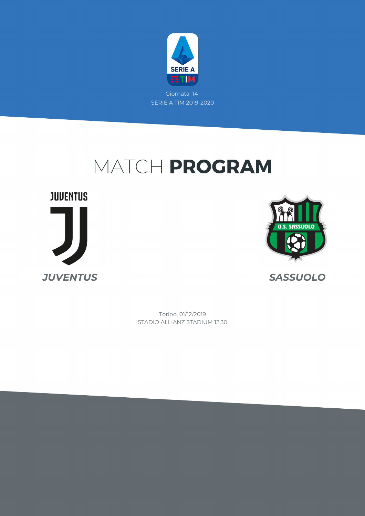

## MATCH PROGRAM





STADIO ALLIANZ STADIUM 12:30 Torino, 01/12/2019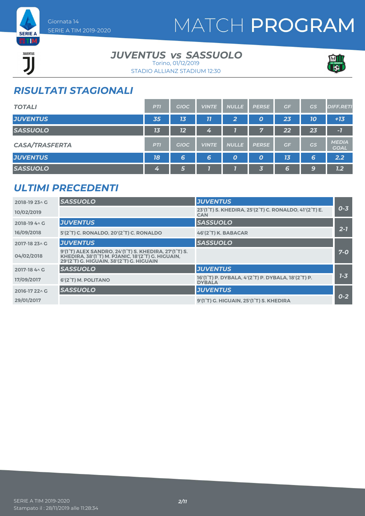

# MATCH PROGRAM

**EETIM** JUVENTUS ĴÏ

#### *JUVENTUS SASSUOLO vs* Torino, 01/12/2019



STADIO ALLIANZ STADIUM 12:30

### *RISULTATI STAGIONALI*

| <b>TOTALI</b>         | <b>PTI</b> | <b>GIOC</b>    | <b>VINTE</b> | <b>NULLE</b> | <b>PERSE</b>     | GF             | <b>GS</b> | <b>DIFF.RETI</b>            |
|-----------------------|------------|----------------|--------------|--------------|------------------|----------------|-----------|-----------------------------|
| <b>JUVENTUS</b>       | 35         | 1 <sub>3</sub> | 77           | $\mathbf{2}$ | O                | 23             | 10        | $+13$                       |
| <b>SASSUOLO</b>       | 13         | 12             | 4            |              | 7                | 22             | 23        | $-7$                        |
| <b>CASA/TRASFERTA</b> | <b>PTI</b> | <b>GIOC</b>    | <b>VINTE</b> | <b>NULLE</b> | <b>PERSE</b>     | GF             | GS        | <b>MEDIA</b><br><b>GOAL</b> |
| <b>JUVENTUS</b>       | 18         | 6              | 6            | 0            | $\boldsymbol{o}$ | 1 <sub>3</sub> | 6         | 2.2                         |
| <b>SASSUOLO</b>       | 4          | 6              |              |              | 3                | 6              | 9         | 1.2                         |

#### *ULTIMI PRECEDENTI*

| 2018-19 23 \ G | <b>SASSUOLO</b>                                                                                                                                                                               | <b>JUVENTUS</b>                                                     |         |
|----------------|-----------------------------------------------------------------------------------------------------------------------------------------------------------------------------------------------|---------------------------------------------------------------------|---------|
| 10/02/2019     |                                                                                                                                                                                               | 23'(1°T) S. KHEDIRA, 25'(2°T) C. RONALDO, 41'(2°T) E.<br><b>CAN</b> | $0 - 3$ |
| 2018-19 4 \ G  | <b>JUVENTUS</b>                                                                                                                                                                               | <b>SASSUOLO</b>                                                     |         |
| 16/09/2018     | 5'(2°T) C. RONALDO, 20'(2°T) C. RONALDO                                                                                                                                                       | 46'(2°T) K. BABACAR                                                 | $2 - 7$ |
| 2017-18 23 \ G | <b>JUVENTUS</b>                                                                                                                                                                               | <b>SASSUOLO</b>                                                     |         |
| 04/02/2018     | 9'(1 <sup>°</sup> T) ALEX SANDRO, 24'(1 <sup>°</sup> T) S. KHEDIRA, 27'(1 <sup>°</sup> T) S.<br>KHEDIRA, 38'(1°T) M. PJANIC, 18'(2°T) G. HIGUAIN,<br>29'(2°T) G. HIGUAIN, 38'(2°T) G. HIGUAIN |                                                                     | $7-0$   |
| 2017-18 4 \ G  | <b>SASSUOLO</b>                                                                                                                                                                               | <b>JUVENTUS</b>                                                     |         |
| 17/09/2017     | 6'(2°T) M. POLITANO                                                                                                                                                                           | 16'(1°T) P. DYBALA, 4'(2°T) P. DYBALA, 18'(2°T) P.<br><b>DYBALA</b> | $1 - 3$ |
| 2016-17 22 \ G | <b>SASSUOLO</b>                                                                                                                                                                               | <b>JUVENTUS</b>                                                     |         |
| 29/01/2017     |                                                                                                                                                                                               | 9'(1°T) G. HIGUAIN, 25'(1°T) S. KHEDIRA                             | $0 - 2$ |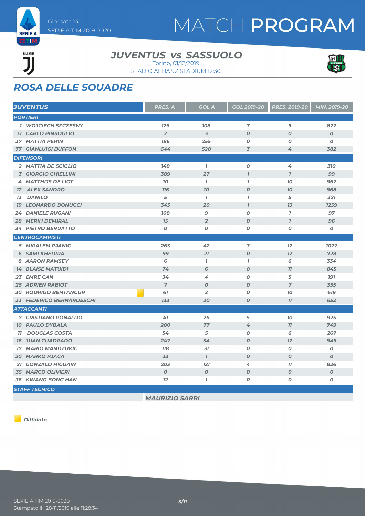

# MATCH PROGRAM

### JUVENTUS ĨÏ

#### *JUVENTUS SASSUOLO vs* Torino, 01/12/2019



STADIO ALLIANZ STADIUM 12:30

### *ROSA DELLE SQUADRE*

| <b>JUVENTUS</b>             | <b>PRES. A</b>   | <b>GOL A</b>     | <b>GOL 2019-20</b>          | <b>PRES. 2019-20</b>    | MIN. 2019-20     |
|-----------------------------|------------------|------------------|-----------------------------|-------------------------|------------------|
| <b>PORTIERI</b>             |                  |                  |                             |                         |                  |
| <b>1 WOJCIECH SZCZESNY</b>  | 126              | 108              | 7                           | 9                       | 877              |
| <b>31 CARLO PINSOGLIO</b>   | $\overline{2}$   | $\overline{3}$   | $\boldsymbol{0}$            | $\boldsymbol{0}$        | $\boldsymbol{O}$ |
| <b>37 MATTIA PERIN</b>      | 186              | 255              | 0                           | 0                       | 0                |
| <b>77 GIANLUIGI BUFFON</b>  | 644              | 520              | $\overline{3}$              | 4                       | 382              |
| <b>DIFENSORI</b>            |                  |                  |                             |                         |                  |
| 2 MATTIA DE SCIGLIO         | 148              | $\mathbf{I}$     | $\boldsymbol{o}$            | 4                       | 310              |
| <b>3 GIORGIO CHIELLINI</b>  | 389              | 27               | $\boldsymbol{\overline{I}}$ | $\overline{\mathbf{I}}$ | 99               |
| <b>4 MATTHIJS DE LIGT</b>   | 10               | $\mathbf{I}$     | $\overline{1}$              | 10                      | 967              |
| <b>12 ALEX SANDRO</b>       | <b>716</b>       | 70               | $\boldsymbol{O}$            | 10 <sub>o</sub>         | 968              |
| <b>13 DANILO</b>            | 5                | $\mathbf{7}$     | $\mathbf{I}$                | 5                       | 321              |
| <b>19 LEONARDO BONUCCI</b>  | 343              | 20               | $\overline{I}$              | 13                      | 1259             |
| <b>24 DANIELE RUGANI</b>    | 108              | 9                | 0                           | $\mathbf{7}$            | 97               |
| <b>28 MERIH DEMIRAL</b>     | 15               | $\overline{2}$   | $\boldsymbol{O}$            | $\mathbf{7}$            | 96               |
| <b>34 PIETRO BERUATTO</b>   | 0                | O                | 0                           | $\boldsymbol{o}$        | 0                |
| <b>CENTROCAMPISTI</b>       |                  |                  |                             |                         |                  |
| <b>5 MIRALEM PJANIC</b>     | 263              | 42               | 3                           | 12                      | 1027             |
| <b>6 SAMI KHEDIRA</b>       | 99               | 21               | $\boldsymbol{o}$            | 12                      | 728              |
| 8 AARON RAMSEY              | 6                | $\mathbf{I}$     | $\mathbf{I}$                | 6                       | 334              |
| <b>14 BLAISE MATUIDI</b>    | 74               | 6                | $\boldsymbol{0}$            | 77                      | 845              |
| 23 EMRE CAN                 | 34               | 4                | $\boldsymbol{o}$            | 5                       | <b>191</b>       |
| <b>25 ADRIEN RABIOT</b>     | $\overline{7}$   | $\boldsymbol{O}$ | $\boldsymbol{0}$            | $\overline{7}$          | 355              |
| <b>30 RODRIGO BENTANCUR</b> | 61               | $\overline{2}$   | 0                           | 10                      | 619              |
| 33 FEDERICO BERNARDESCHI    | 133              | 20               | $\boldsymbol{o}$            | 11                      | 652              |
| <b>ATTACCANTI</b>           |                  |                  |                             |                         |                  |
| <b>7 CRISTIANO RONALDO</b>  | 41               | 26               | 5                           | 10                      | 925              |
| <b>10 PAULO DYBALA</b>      | 200              | 77               | 4                           | 11                      | 749              |
| <b>11 DOUGLAS COSTA</b>     | 54               | 5                | $\boldsymbol{0}$            | 6                       | 267              |
| <b>16 JUAN CUADRADO</b>     | 247              | 34               | $\boldsymbol{0}$            | 12                      | 945              |
| <b>17 MARIO MANDZUKIC</b>   | <b>118</b>       | 31               | 0                           | 0                       | 0                |
| <b>20 MARKO PJACA</b>       | 33               | $\mathbf{I}$     | $\boldsymbol{0}$            | $\boldsymbol{o}$        | $\boldsymbol{o}$ |
| <b>21 GONZALO HIGUAIN</b>   | 203              | <b>121</b>       | 4                           | 77                      | 826              |
| <b>35 MARCO OLIVIERI</b>    | $\boldsymbol{o}$ | $\boldsymbol{O}$ | $\boldsymbol{0}$            | $\boldsymbol{O}$        | $\boldsymbol{o}$ |
| <b>36 KWANG-SONG HAN</b>    | 12               | $\mathbf{I}$     | 0                           | 0                       | O                |
| <b>STAFF TECNICO</b>        |                  |                  |                             |                         |                  |

*MAURIZIO SARRI*

*Diffidato*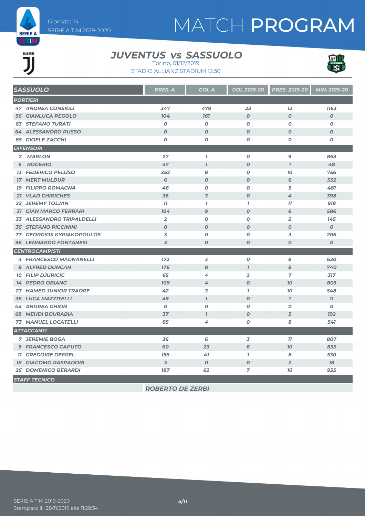

# MATCH PROGRAM

### **JUVENTUS** JJ

#### *JUVENTUS SASSUOLO vs* Torino, 01/12/2019



STADIO ALLIANZ STADIUM 12:30

| <b>SASSUOLO</b>                  | PRES. A          | <b>GOL A</b>     | <b>GOL 2019-20</b> | PRES. 2019-20    | MIN. 2019-20     |
|----------------------------------|------------------|------------------|--------------------|------------------|------------------|
| <b>PORTIERI</b>                  |                  |                  |                    |                  |                  |
| <b>47 ANDREA CONSIGLI</b>        | 347              | 479              | 23                 | 12               | 1163             |
| <b>56 GIANLUCA PEGOLO</b>        | 104              | 161              | $\boldsymbol{O}$   | $\boldsymbol{O}$ | $\boldsymbol{O}$ |
| <b>63 STEFANO TURATI</b>         | $\boldsymbol{O}$ | $\boldsymbol{o}$ | $\boldsymbol{O}$   | $\boldsymbol{O}$ | $\boldsymbol{o}$ |
| <b>64 ALESSANDRO RUSSO</b>       | $\boldsymbol{0}$ | $\boldsymbol{O}$ | $\boldsymbol{0}$   | $\boldsymbol{0}$ | $\boldsymbol{O}$ |
| <b>65 GIOELE ZACCHI</b>          | 0                | 0                | 0                  | 0                | 0                |
| <b>DIFENSORI</b>                 |                  |                  |                    |                  |                  |
| 2 MARLON                         | 27               | $\mathbf{7}$     | 0                  | 9                | 863              |
| <b>6 ROGERIO</b>                 | 47               | $\overline{1}$   | $\boldsymbol{O}$   | $\mathbf{I}$     | 48               |
| <b>13 FEDERICO PELUSO</b>        | 252              | 8                | $\pmb{o}$          | 10               | 756              |
| <b>17 MERT MULDUR</b>            | 6                | $\boldsymbol{O}$ | $\boldsymbol{0}$   | 6                | 332              |
| <b>19 FILIPPO ROMAGNA</b>        | 46               | O                | $\boldsymbol{0}$   | 5                | 481              |
| <b>21 VLAD CHIRICHES</b>         | 36               | $\overline{3}$   | $\boldsymbol{O}$   | 4                | 398              |
| <b>22 JEREMY TOLJAN</b>          | 77               | $\mathbf{7}$     | $\mathbf{7}$       | 77               | 918              |
| <b>31 GIAN MARCO FERRARI</b>     | 104              | $\mathbf{9}$     | $\boldsymbol{O}$   | 6                | 586              |
| 33 ALESSANDRO TRIPALDELLI        | $\overline{2}$   | 0                | $\boldsymbol{o}$   | $\overline{2}$   | 145              |
| <b>35 STEFANO PICCININI</b>      | $\boldsymbol{O}$ | $\boldsymbol{o}$ | $\boldsymbol{O}$   | $\boldsymbol{0}$ | $\boldsymbol{o}$ |
| <b>77 GEORGIOS KYRIAKOPOULOS</b> | 3                | O                | $\boldsymbol{0}$   | 3                | 206              |
| <b>96 LEONARDO FONTANESI</b>     | 3                | O                | $\boldsymbol{o}$   | $\boldsymbol{O}$ | $\pmb{o}$        |
| <b>CENTROCAMPISTI</b>            |                  |                  |                    |                  |                  |
| <b>4 FRANCESCO MAGNANELLI</b>    | 172              | 3                | $\boldsymbol{O}$   | 8                | 620              |
| 8 ALFRED DUNCAN                  | 176              | 8                | $\mathbf{7}$       | $\mathfrak{g}$   | 740              |
| <b>10 FILIP DJURICIC</b>         | 65               | 4                | $\overline{2}$     | 7                | 317              |
| <b>14 PEDRO OBIANG</b>           | <b>109</b>       | 4                | $\boldsymbol{O}$   | 70               | 805              |
| <b>23 HAMED JUNIOR TRAORE</b>    | 42               | 3                | $\mathbf{I}$       | 10               | 548              |
| <b>36 LUCA MAZZITELLI</b>        | 49               | $\mathbf{7}$     | $\boldsymbol{O}$   | $\mathbf{7}$     | 77               |
| <b>44 ANDREA GHION</b>           | 0                | O                | $\boldsymbol{0}$   | 0                | 0                |
| <b>68 MEHDI BOURABIA</b>         | 37               | $\overline{1}$   | $\boldsymbol{O}$   | 5                | <b>192</b>       |
| <b>73 MANUEL LOCATELLI</b>       | 85               | 4                | O                  | 8                | 541              |
| <b>ATTACCANTI</b>                |                  |                  |                    |                  |                  |
| <b>7 JEREMIE BOGA</b>            | 36               | 6                | 3                  | 11               | 807              |
| <b>9 FRANCESCO CAPUTO</b>        | 60               | 23               | 6                  | 70               | 833              |
| <b>11 GREGOIRE DEFREL</b>        | 156              | 41               | $\overline{1}$     | 8                | 530              |
| <b>18 GIACOMO RASPADORI</b>      | $\overline{3}$   | $\boldsymbol{o}$ | $\boldsymbol{O}$   | $\overline{2}$   | 18               |
| <b>25 DOMENICO BERARDI</b>       | 187              | 62               | 7                  | 10               | 935              |
| <b>STAFF TECNICO</b>             |                  |                  |                    |                  |                  |

*ROBERTO DE ZERBI*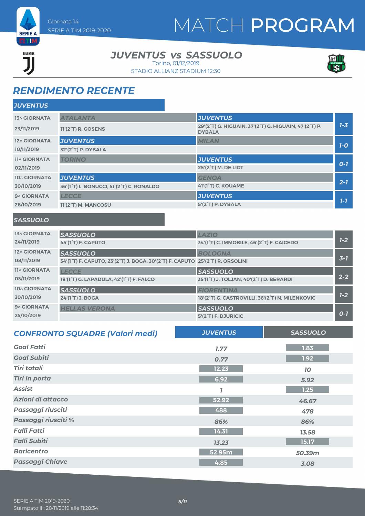

# MATCH PROGRAM

### JUVENTUS ור

#### *JUVENTUS SASSUOLO vs* Torino, 01/12/2019

STADIO ALLIANZ STADIUM 12:30



### *RENDIMENTO RECENTE*

| <b>JUVENTUS</b>     |                                                                    |                                                                        |         |
|---------------------|--------------------------------------------------------------------|------------------------------------------------------------------------|---------|
| <b>13^ GIORNATA</b> | <b>ATALANTA</b>                                                    | <b>JUVENTUS</b>                                                        |         |
| 23/11/2019          | 11'(2 <sup>°</sup> T) R. GOSENS                                    | 29'(2°T) G. HIGUAIN, 37'(2°T) G. HIGUAIN, 47'(2°T) P.<br><b>DYBALA</b> | $7 - 3$ |
| 12^ GIORNATA        | <b>JUVENTUS</b>                                                    | <b>MILAN</b>                                                           |         |
| 10/11/2019          | 32'(2°T) P. DYBALA                                                 |                                                                        | $7-0$   |
| <b>11^ GIORNATA</b> | <b>TORINO</b>                                                      | <b>JUVENTUS</b>                                                        |         |
| 02/11/2019          |                                                                    | 25'(2°T) M. DE LIGT                                                    | $O-1$   |
| 10^ GIORNATA        | <b>JUVENTUS</b>                                                    | <b>GENOA</b>                                                           |         |
| 30/10/2019          | 36'(1 <sup>°</sup> T) L. BONUCCI, 51'(2 <sup>°</sup> T) C. RONALDO | 41'(1°T) C. KOUAME                                                     | $2 - 7$ |
| 9^ GIORNATA         | <b>LECCE</b>                                                       | <b>JUVENTUS</b>                                                        |         |
| 26/10/2019          | 11'(2°T) M. MANCOSU                                                | 5'(2°T) P. DYBALA                                                      | $1 - 7$ |
|                     |                                                                    |                                                                        |         |

#### *SASSUOLO*

| <b>13^ GIORNATA</b> | <b>SASSUOLO</b>                                                                                                                   | <b>LAZIO</b>                                                        |         |
|---------------------|-----------------------------------------------------------------------------------------------------------------------------------|---------------------------------------------------------------------|---------|
| 24/11/2019          | 45'(1 <sup>°</sup> T) F. CAPUTO                                                                                                   | 34'(1 <sup>°</sup> T) C. IMMOBILE, 46'(2 <sup>°</sup> T) F. CAICEDO | $1 - 2$ |
| 12^ GIORNATA        | <b>SASSUOLO</b>                                                                                                                   | <b>BOLOGNA</b>                                                      |         |
| 08/11/2019          | 34'(1 <sup>°</sup> T) F. CAPUTO, 23'(2 <sup>°</sup> T) J. BOGA, 30'(2 <sup>°</sup> T) F. CAPUTO 25'(2 <sup>°</sup> T) R. ORSOLINI |                                                                     | $3 - 1$ |
| <b>11^ GIORNATA</b> | <b>LECCE</b>                                                                                                                      | <b>SASSUOLO</b>                                                     |         |
| 03/11/2019          | 18'(1 <sup>°</sup> T) G. LAPADULA, 42'(1 <sup>°</sup> T) F. FALCO                                                                 | 35'(1°T) J. TOLJAN, 40'(2°T) D. BERARDI                             | $2 - 2$ |
| 10^ GIORNATA        | <b>SASSUOLO</b>                                                                                                                   | <b>FIORENTINA</b>                                                   |         |
| 30/10/2019          | 24'(1°T) J. BOGA                                                                                                                  | 18'(2°T) G. CASTROVILLI, 36'(2°T) N. MILENKOVIC                     | $1 - 2$ |
| 9^ GIORNATA         | <b>HELLAS VERONA</b>                                                                                                              | <b>SASSUOLO</b>                                                     |         |
| 25/10/2019          |                                                                                                                                   | $5'(2^{\circ}T)$ F. DJURICIC                                        | $O-I$   |

| <b>CONFRONTO SQUADRE (Valori medi)</b> | <b>JUVENTUS</b> | <b>SASSUOLO</b> |
|----------------------------------------|-----------------|-----------------|
| <b>Goal Fatti</b>                      | 1.77            | 1.83            |
| <b>Goal Subiti</b>                     | 0.77            | 1.92            |
| <b>Tiri totali</b>                     | 12.23           | 10              |
| <b>Tiri in porta</b>                   | 6.92            | 5.92            |
| <b>Assist</b>                          |                 | 1.25            |
| Azioni di attacco                      | 52.92           | 46.67           |
| Passaggi riusciti                      | 488             | 478             |
| Passaggi riusciti %                    | 86%             | 86%             |
| <b>Falli Fatti</b>                     | 14.31           | 13.58           |
| <b>Falli Subiti</b>                    | 13.23           | 15.17           |
| <b>Baricentro</b>                      | 52.95m          | 50.39m          |
| <b>Passaggi Chiave</b>                 | 4.85            | 3.08            |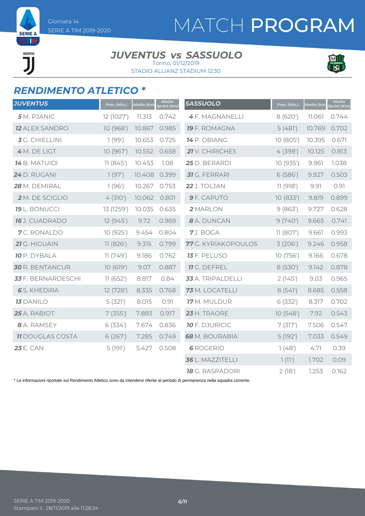**SERIE A** ETIM

> JUVENTUS ור

# MATCH PROGRAM

#### *JUVENTUS SASSUOLO vs* Torino, 01/12/2019





### *RENDIMENTO ATLETICO \**

| <b>JUVENTUS</b>           | Pres. (Min.) | Media (km) | <b>Media</b><br>Sprint (Km) | <b>SASSUOLO</b>        | Pres. (Min.) | Media (km) | <b>Media</b><br>Sprint (Km) |
|---------------------------|--------------|------------|-----------------------------|------------------------|--------------|------------|-----------------------------|
| 5 M. PJANIC               | 12 (1027')   | 11.313     | 0.742                       | <b>4F. MAGNANELLI</b>  | 8 (620')     | 11.061     | 0.744                       |
| <b>12 ALEX SANDRO</b>     | 10 (968')    | 10.867     | 0.985                       | <b>19</b> F. ROMAGNA   | 5(481)       | 10.769     | 0.702                       |
| 3 G. CHIELLINI            | 1(99')       | 10.653     | 0.725                       | 14 P. OBIANG           | 10 (805')    | 10.395     | 0.671                       |
| 4 M. DE LIGT              | 10 (967')    | 10.552     | 0.658                       | 21 V. CHIRICHES        | 4(398)       | 10.125     | 0.813                       |
| <b>14</b> B. MATUIDI      | 11(845)      | 10.453     | 1.08                        | 25 D. BERARDI          | 10(935)      | 9.961      | 1.038                       |
| 24 D. RUGANI              | 1(97)        | 10.408     | 0.399                       | <b>31</b> G. FERRARI   | 6(586)       | 9.927      | 0.503                       |
| 28 M. DEMIRAL             | 1(96)        | 10.267     | 0.753                       | 22 J. TOLJAN           | 11 (918')    | 9.91       | 0.91                        |
| 2 M. DE SCIGLIO           | 4(310)       | 10.062     | 0.801                       | 9 F. CAPUTO            | 10(833')     | 9.819      | 0.899                       |
| 19 L. BONUCCI             | 13 (1259')   | 10.035     | 0.635                       | 2 MARLON               | 9(863)       | 9.727      | 0.628                       |
| 16 J. CUADRADO            | 12 (945')    | 9.72       | 0.969                       | 8 A. DUNCAN            | 9(740)       | 9.665      | 0.741                       |
| 7C. RONALDO               | 10 (925')    | 9.454      | 0.804                       | 7J. BOGA               | 11 (807)     | 9.661      | 0.993                       |
| 21 G. HIGUAIN             | 11(826')     | 9.315      | 0.799                       | 77 G. KYRIAKOPOULOS    | 3(206)       | 9.246      | 0.958                       |
| <b>10</b> P. DYBALA       | 11(749)      | 9.186      | 0.762                       | <b>13</b> F. PELUSO    | 10 (756')    | 9.166      | 0.678                       |
| <b>30</b> R. BENTANCUR    | 10(619')     | 9.07       | 0.887                       | <b>11</b> G. DEFREL    | 8(530')      | 9.142      | 0.878                       |
| <b>33</b> F. BERNARDESCHI | 11(652)      | 8.817      | 0.84                        | 33 A. TRIPALDELLI      | 2(145)       | 9.03       | 0.965                       |
| <b>6</b> S. KHEDIRA       | 12 (728')    | 8.335      | 0.768                       | 73 M. LOCATELLI        | 8(541)       | 8.685      | 0.558                       |
| <b>13</b> DANILO          | 5(321)       | 8.015      | 0.91                        | 17 M. MULDUR           | 6(332)       | 8.317      | 0.702                       |
| 25 A. RABIOT              | 7(355)       | 7.883      | 0.917                       | 23 H. TRAORE           | 10(548)      | 7.92       | 0.543                       |
| 8 A. RAMSEY               | 6(334)       | 7.674      | 0.836                       | <b>10</b> F. DJURICIC  | 7(317)       | 7.506      | 0.547                       |
| <b>11 DOUGLAS COSTA</b>   | 6(267)       | 7.285      | 0.749                       | <b>68</b> M. BOURABIA  | 5(192)       | 7.033      | 0.549                       |
| <b>23 E. CAN</b>          | 5(191)       | 5.427      | 0.508                       | <b>6</b> ROGERIO       | 1(48)        | 4.71       | 0.39                        |
|                           |              |            |                             | 36 L. MAZZITELLI       | 1(11')       | 1.702      | 0.09                        |
|                           |              |            |                             | <b>18</b> G. RASPADORI | 2(18)        | 1.253      | 0.162                       |

\* Le informazioni riportate sul Rendimento Atletico sono da intendersi riferite al periodo di permanenza nella squadra corrente.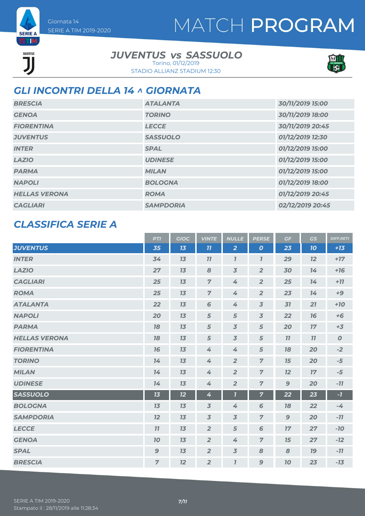

#### **SERIE A ETM** JUVENTUS ור

Giornata 14

SERIE A TIM 2019-2020

#### *JUVENTUS SASSUOLO vs*

STADIO ALLIANZ STADIUM 12:30 Torino, 01/12/2019



#### *GLI INCONTRI DELLA 14 ^ GIORNATA*

| <b>BRESCIA</b>       | <b>ATALANTA</b>  | 30/11/2019 15:00 |
|----------------------|------------------|------------------|
| <b>GENOA</b>         | <b>TORINO</b>    | 30/11/2019 18:00 |
| <b>FIORENTINA</b>    | <b>LECCE</b>     | 30/11/2019 20:45 |
| <b>JUVENTUS</b>      | <b>SASSUOLO</b>  | 01/12/2019 12:30 |
| <b>INTER</b>         | <b>SPAL</b>      | 01/12/2019 15:00 |
| <b>LAZIO</b>         | <b>UDINESE</b>   | 01/12/2019 15:00 |
| <b>PARMA</b>         | <b>MILAN</b>     | 01/12/2019 15:00 |
| <b>NAPOLI</b>        | <b>BOLOGNA</b>   | 01/12/2019 18:00 |
| <b>HELLAS VERONA</b> | <b>ROMA</b>      | 01/12/2019 20:45 |
| <b>CAGLIARI</b>      | <b>SAMPDORIA</b> | 02/12/2019 20:45 |

#### *CLASSIFICA SERIE A*

|                      | <b>PTI</b>     | <b>GIOC</b> | <b>VINTE</b>   | <b>NULLE</b>            | <b>PERSE</b>     | GF           | GS | <b>DIFF.RETI</b> |
|----------------------|----------------|-------------|----------------|-------------------------|------------------|--------------|----|------------------|
| <b>JUVENTUS</b>      | 35             | 13          | 11             | $\overline{2}$          | $\boldsymbol{o}$ | 23           | 10 | $+13$            |
| <b>INTER</b>         | 34             | 13          | 77             | $\overline{\mathbf{I}}$ | $\mathbf{I}$     | 29           | 12 | $+17$            |
| <b>LAZIO</b>         | 27             | 13          | 8              | $\overline{3}$          | $\overline{2}$   | 30           | 74 | $+16$            |
| <b>CAGLIARI</b>      | 25             | 13          | $\overline{z}$ | 4                       | $\overline{2}$   | 25           | 14 | $+77$            |
| <b>ROMA</b>          | 25             | 13          | $\overline{7}$ | 4                       | $\overline{2}$   | 23           | 14 | $+9$             |
| <b>ATALANTA</b>      | 22             | 13          | $6\phantom{1}$ | 4                       | $\overline{3}$   | 31           | 21 | $+10$            |
| <b>NAPOLI</b>        | 20             | 13          | 5              | $\sqrt{5}$              | $\overline{3}$   | 22           | 76 | $+6$             |
| <b>PARMA</b>         | 78             | 13          | 5              | $\overline{3}$          | 5                | 20           | 17 | $+3$             |
| <b>HELLAS VERONA</b> | 78             | 13          | 5              | $\overline{3}$          | 5                | 11           | 77 | $\boldsymbol{0}$ |
| <b>FIORENTINA</b>    | 16             | 13          | 4              | 4                       | $\sqrt{5}$       | 78           | 20 | $-2$             |
| <b>TORINO</b>        | 14             | 13          | 4              | $\overline{2}$          | $\overline{7}$   | 15           | 20 | $-5$             |
| <b>MILAN</b>         | 14             | 13          | 4              | $\overline{2}$          | $\overline{7}$   | 12           | 17 | $-5$             |
| <b>UDINESE</b>       | 14             | 13          | 4              | $\overline{2}$          | $\overline{7}$   | $\mathbf{9}$ | 20 | $-11$            |
| <b>SASSUOLO</b>      | 13             | 12          | 4              | $\overline{\mathbf{I}}$ | $\overline{7}$   | 22           | 23 | $-7$             |
| <b>BOLOGNA</b>       | 13             | 13          | $\overline{3}$ | 4                       | 6                | 78           | 22 | $-4$             |
| <b>SAMPDORIA</b>     | 12             | 13          | $\overline{3}$ | $\overline{3}$          | $\overline{7}$   | $\mathbf{9}$ | 20 | $-11$            |
| <b>LECCE</b>         | 77             | 13          | $\overline{2}$ | $\sqrt{5}$              | 6                | 17           | 27 | $-10$            |
| <b>GENOA</b>         | 10             | 13          | $\overline{2}$ | 4                       | $\overline{7}$   | 15           | 27 | $-12$            |
| <b>SPAL</b>          | $\mathbf{9}$   | 13          | $\overline{2}$ | $\overline{3}$          | 8                | 8            | 19 | $-11$            |
| <b>BRESCIA</b>       | $\overline{7}$ | 12          | $\overline{2}$ | $\overline{I}$          | 9                | 70           | 23 | $-13$            |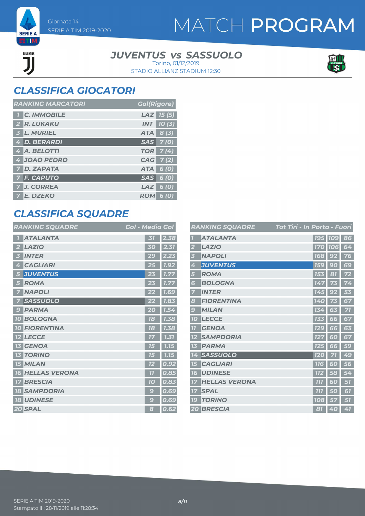

#### *JUVENTUS SASSUOLO vs*

STADIO ALLIANZ STADIUM 12:30 Torino, 01/12/2019



### *CLASSIFICA GIOCATORI*

SERIE A TIM 2019-2020

Giornata 14

**SERIE A ETIM** 

> JUVENTUS ור

| <b>RANKING MARCATORI</b> | <b>Gol(Rigore)</b> |
|--------------------------|--------------------|
| <b>C. IMMOBILE</b>       | $LAZ$ 15 (5)       |
| 2 R. LUKAKU              | $INT$ 10(3)        |
| 3 L. MURIEL              | $ATA \quad 8(3)$   |
| 4 D. BERARDI             | $SAS$ $7(0)$       |
| 4 A. BELOTTI             | TOR   7(4)         |
| 4 JOAO PEDRO             | CAG 7(2)           |
| 7 D. ZAPATA              | ATA 6 (0)          |
| 7 F. CAPUTO              | $SAS$ 6 (0)        |
| <b>7 J. CORREA</b>       | $LAZ$ 6(0)         |
| 7 E. DZEKO               | <b>ROM 6 (0)</b>   |

#### *CLASSIFICA SQUADRE*

| <b>RANKING SQUADRE</b> | Gol - Media Gol                                 |
|------------------------|-------------------------------------------------|
| <b>ATALANTA</b>        | 2.38<br>31                                      |
| <b>LAZIO</b>           | 2.31<br>30                                      |
| <b>INTER</b>           | 2.23                                            |
| 3                      | 29                                              |
| <b>CAGLIARI</b>        | 1.92                                            |
| 4                      | 25                                              |
| <b>JUVENTUS</b>        | 1.77                                            |
| 5                      | 23                                              |
| <b>ROMA</b><br>5       | 1.77                                            |
| <b>NAPOLI</b>          | <b>7.69</b>                                     |
| 7                      | 22                                              |
| <b>SASSUOLO</b>        | 1.83                                            |
| 7                      | 22                                              |
| <b>PARMA</b>           | 20                                              |
| 9                      | 1.54                                            |
| <b>10 BOLOGNA</b>      | 1.38<br>78                                      |
| <b>FIORENTINA</b>      | 1.38                                            |
| 10 <sup>1</sup>        | 78                                              |
| <b>LECCE</b>           | 1.31<br>17                                      |
| <b>GENOA</b>           | 7.15                                            |
| 73                     | 15                                              |
| <b>TORINO</b>          | 1.15                                            |
| 13                     | 75                                              |
| <b>15 MILAN</b>        | 0.92                                            |
| <b>HELLAS VERONA</b>   | 77                                              |
| 16 <sup>1</sup>        | 0.85                                            |
| <b>BRESCIA</b>         | 0.83                                            |
| 17                     | 70                                              |
| <b>SAMPDORIA</b>       | 0.69                                            |
| 18                     | $\mathbf{g}% _{T}=\mathbf{G}_{T}\mathbf{G}_{T}$ |
| <b>18 UDINESE</b>      | g<br>0.69                                       |
| 20 SPAL                | 0.62<br>8                                       |

| <b>RANKING SQUADRE</b>         | Tot Tiri - In Porta - Fuori |                |        |    |
|--------------------------------|-----------------------------|----------------|--------|----|
| <b>ATALANTA</b>                |                             | <b>195 109</b> |        | 86 |
| <b>LAZIO</b><br>2              |                             | <b>170 106</b> |        | 64 |
| <b>NAPOLI</b><br>3             |                             | <b>168</b>     | 92     | 76 |
| <b>JUVENTUS</b><br>4           |                             | <b>159</b>     | 90     | 69 |
| <b>ROMA</b><br>5               |                             | 153            | 81     | 72 |
| <b>BOLOGNA</b><br>6            |                             | 147            | 73     | 74 |
| <b>INTER</b>                   |                             | <b>145</b>     | 92     | 53 |
| <b>FIORENTINA</b><br>8         |                             | 140            |        | 67 |
| <b>MILAN</b><br>$\overline{9}$ |                             | 134            | 63     | 71 |
| <b>LECCE</b><br><b>10</b>      |                             | 133            | 66     | 67 |
| <b>GENOA</b><br><b>77</b>      |                             | <b>129</b>     | 66     | 63 |
| <b>SAMPDORIA</b><br>12         |                             | <b>127</b>     | 60     | 67 |
| <b>PARMA</b><br>13             |                             | <b>125</b>     | 66     | 59 |
| <b>SASSUOLO</b><br>14          |                             | <b>120</b>     | 71     | 49 |
| <b>CAGLIARI</b><br>15          |                             | <b>716</b>     | 60     | 56 |
| <b>UDINESE</b><br>16           |                             | <b>112</b>     | 58     | 54 |
| <b>HELLAS VERONA</b><br>77     |                             | 777            | 60     | 57 |
| <b>SPAL</b><br>17              |                             | 777            | 5<br>Ō | 61 |
| <b>TORINO</b><br><b>19</b>     |                             | 108            | 57     | 57 |
| 20 BRESCIA                     |                             | 81             | 40     | 41 |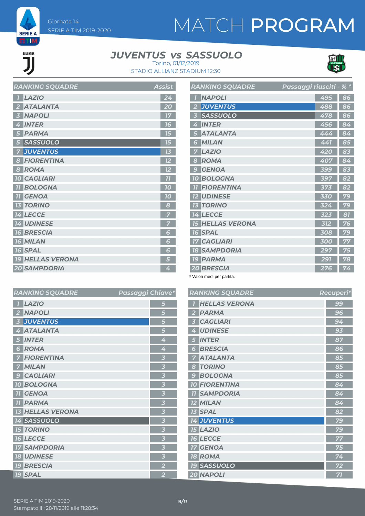**SERIE A EETIM** 

JUVENTUS

# MATCH PROGRAM

#### *JUVENTUS SASSUOLO vs*



STADIO ALLIANZ STADIUM 12:30 Torino, 01/12/2019

| <b>RANKING SQUADRE</b>  | <b>Assist</b> |
|-------------------------|---------------|
| <b>LAZIO</b>            | 24            |
| <b>ATALANTA</b>         | 20            |
| <b>NAPOLI</b>           | 17            |
| <b>INTER</b>            | 16            |
| <b>PARMA</b>            | 15            |
| <b>SASSUOLO</b><br>5    | 75            |
| <b>JUVENTUS</b>         | 73            |
| <b>FIORENTINA</b><br>8  | 12            |
| <b>ROMA</b><br>8        | 12            |
| <b>10 CAGLIARI</b>      | 77            |
| <b>BOLOGNA</b>          | 10            |
| <b>GENOA</b><br>77      | 70            |
| <b>TORINO</b>           | 8             |
| <b>14 LECCE</b>         | 7             |
| <b>14 UDINESE</b>       | 7             |
| <b>16 BRESCIA</b>       | 6             |
| <b>16 MILAN</b>         | 6             |
| <b>16 SPAL</b>          | 6             |
| <b>19 HELLAS VERONA</b> | 5             |
| 20 SAMPDORIA            | 4             |

|                         | <b>RANKING SQUADRE</b>  | Passaggi riusciti - % * |     |    |
|-------------------------|-------------------------|-------------------------|-----|----|
|                         | <b>NAPOLI</b>           |                         | 495 | 86 |
| $\overline{2}$          | <b>JUVENTUS</b>         |                         | 488 | 86 |
| $\overline{\mathbf{3}}$ | <b>SASSUOLO</b>         |                         | 478 | 86 |
| 4                       | <b>INTER</b>            |                         | 456 | 84 |
| 5                       | <b>ATALANTA</b>         |                         | 444 | 84 |
| 6                       | <b>MILAN</b>            |                         | 441 | 85 |
| 7                       | <b>LAZIO</b>            |                         | 420 | 83 |
| 8                       | <b>ROMA</b>             |                         | 407 | 84 |
| 9                       | <b>GENOA</b>            |                         | 399 | 83 |
|                         | <b>10 BOLOGNA</b>       |                         | 397 | 82 |
| 77                      | <b>FIORENTINA</b>       |                         | 373 | 82 |
|                         | <b>12 UDINESE</b>       |                         | 330 | 79 |
|                         | <b>13 TORINO</b>        |                         | 324 | 79 |
|                         | <b>14 LECCE</b>         |                         | 323 | 81 |
|                         | <b>15 HELLAS VERONA</b> |                         | 312 | 76 |
|                         | <b>16 SPAL</b>          |                         | 308 | 79 |
|                         | <b>17 CAGLIARI</b>      |                         | 300 | 77 |
|                         | <b>18 SAMPDORIA</b>     |                         | 297 | 75 |
|                         | <b>19 PARMA</b>         |                         | 291 | 78 |
|                         | 20 BRESCIA              |                         | 276 | 74 |

\* Valori medi per partita.

| <b>RANKING SQUADRE</b>  | <b>Passaggi Chiave*</b> | <b>RANKING SQUADRE</b> | Recuperi* |
|-------------------------|-------------------------|------------------------|-----------|
| $1$ LAZIO               | 5                       | <b>T HELLAS VERONA</b> | 99        |
| 2 NAPOLI                | 5                       | 2 PARMA                | 96        |
| <b>3 JUVENTUS</b>       | 5                       | <b>CAGLIARI</b>        | 94        |
| 4 ATALANTA              | 5                       | <b>UDINESE</b>         | 93        |
| 5 INTER                 | 4                       | <b>5 INTER</b>         | 87        |
| 6 ROMA                  | 4                       | <b>6 BRESCIA</b>       | 86        |
| <b>7 FIORENTINA</b>     | $\overline{\mathbf{3}}$ | <b>7 ATALANTA</b>      | 85        |
| <b>7 MILAN</b>          | 3                       | 8 TORINO               | 85        |
| 9 CAGLIARI              | $\overline{\mathbf{3}}$ | <b>9 BOLOGNA</b>       | 85        |
| <b>10 BOLOGNA</b>       | 3                       | <b>10 FIORENTINA</b>   | 84        |
| <b>11 GENOA</b>         | 3                       | <b>11 SAMPDORIA</b>    | 84        |
| <b>11 PARMA</b>         | 3                       | <b>12 MILAN</b>        | 84        |
| <b>13 HELLAS VERONA</b> | 3                       | <b>13 SPAL</b>         | 82        |
| 14 SASSUOLO             | 3                       | 14 JUVENTUS            | 79        |
| <b>15 TORINO</b>        | 3                       | <b>15 LAZIO</b>        | 79        |
| <b>16 LECCE</b>         | 3                       | <b>16 LECCE</b>        | 77        |
| <b>17 SAMPDORIA</b>     | 3                       | <b>17 GENOA</b>        | 75        |
| <b>18 UDINESE</b>       | $\overline{\mathbf{3}}$ | <b>18 ROMA</b>         | 74        |
| <b>19 BRESCIA</b>       | $\overline{2}$          | <b>19 SASSUOLO</b>     | 72        |
| <b>19 SPAL</b>          | $\overline{2}$          | 20 NAPOLI              | 71        |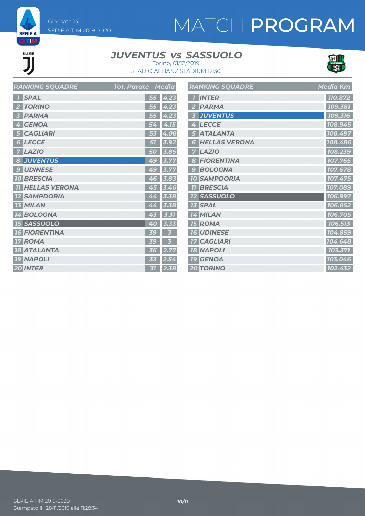# MATCH PROGRAM

# JUVENTUS

**SERIE A ETIM** 

#### *JUVENTUS SASSUOLO vs* Torino, 01/12/2019



STADIO ALLIANZ STADIUM 12:30

|    | <b>RANKING SQUADRE</b> | Tot. Parate - Media |      | $\boldsymbol{R}$                                          |
|----|------------------------|---------------------|------|-----------------------------------------------------------|
|    | <b>SPAL</b>            | 55                  | 4.23 | $\overline{1}$                                            |
| 2  | <b>TORINO</b>          | 55                  | 4.23 |                                                           |
|    | <b>PARMA</b>           | 55                  | 4.23 |                                                           |
| 4  | <b>GENOA</b>           | 54                  | 4.15 |                                                           |
|    | <b>CAGLIARI</b>        | 53                  | 4.08 |                                                           |
| 6  | <b>LECCE</b>           | 51                  | 3.92 |                                                           |
|    | <b>LAZIO</b>           | 50                  | 3.85 |                                                           |
| 8  | <b>JUVENTUS</b>        | 49                  | 3.77 |                                                           |
| 9  | <b>UDINESE</b>         | 49                  | 3.77 | $\begin{array}{c} 6 \\ 2 \\ 3 \\ 4 \\ \hline \end{array}$ |
|    | <b>10 BRESCIA</b>      | 46                  | 3.83 |                                                           |
| 77 | <b>HELLAS VERONA</b>   | 45                  | 3.46 | $\overline{\mathbf{I}}$                                   |
|    | <b>SAMPDORIA</b>       | 44                  | 3.38 | $\overline{\mathbf{r}}$                                   |
|    | <b>13 MILAN</b>        | 44                  | 3.38 | $\overline{\mathbf{I}}$                                   |
|    | <b>14 BOLOGNA</b>      | 43                  | 3.31 | $\overline{\mathbf{z}}$                                   |
|    | <b>15 SASSUOLO</b>     | 40                  | 3.33 | $\overline{\mathbf{z}}$                                   |
|    | <b>16 FIORENTINA</b>   | 39                  | 3    | $\frac{7}{7}$                                             |
|    | <b>17 ROMA</b>         | 39                  | 3    |                                                           |
|    | <b>18 ATALANTA</b>     | 36                  | 2.77 | $\overline{\mathbf{z}}$                                   |
|    | <b>19 NAPOLI</b>       | 33                  | 2.54 | $\overline{I}$                                            |
|    | 20 INTER               | 31                  | 2.38 | $\overline{\mathbf{2}}$                                   |

|                | <b>RANKING SQUADRE</b> | <b>Media Km</b>      |
|----------------|------------------------|----------------------|
| $\overline{1}$ | <b>INTER</b>           | 110.872              |
| $\overline{2}$ | <b>PARMA</b>           | 109.381              |
| 3              | <b>JUVENTUS</b>        | 109.316              |
| 4              | <b>LECCE</b>           | 108.945              |
| 5              | <b>ATALANTA</b>        | 108.497              |
| 6              | <b>HELLAS VERONA</b>   | 108.486              |
| 7              | <b>LAZIO</b>           | 108.239              |
| 8              | <b>FIORENTINA</b>      | 107.765              |
| 9              | <b>BOLOGNA</b>         | 107.678              |
|                | <b>10 SAMPDORIA</b>    | 107.475              |
| 77             | <b>BRESCIA</b>         | 107.089              |
|                | <b>12 SASSUOLO</b>     | 106.997              |
|                | <b>13 SPAL</b>         | 106.852              |
|                | 14 MILAN               | 106.705              |
|                | <b>15 ROMA</b>         | 106.513              |
|                | <b>16 UDINESE</b>      | 104.859              |
|                | <b>17 CAGLIARI</b>     | 104.648              |
|                | <b>18 NAPOLI</b>       | 103.371              |
|                | <b>19 GENOA</b>        | 103.046              |
|                | <b>20 TORINO</b>       | $\overline{102.432}$ |